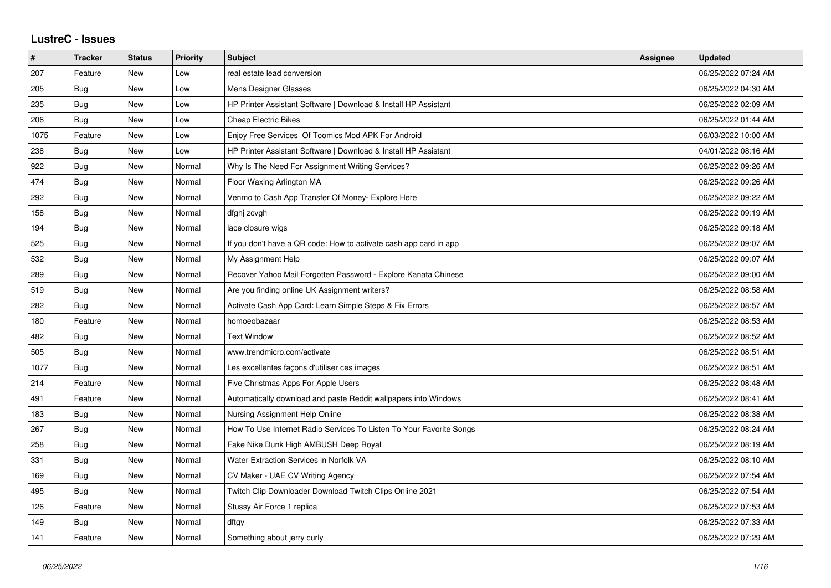## **LustreC - Issues**

| $\vert$ # | <b>Tracker</b> | <b>Status</b> | <b>Priority</b> | <b>Subject</b>                                                      | <b>Assignee</b> | <b>Updated</b>      |
|-----------|----------------|---------------|-----------------|---------------------------------------------------------------------|-----------------|---------------------|
| 207       | Feature        | <b>New</b>    | Low             | real estate lead conversion                                         |                 | 06/25/2022 07:24 AM |
| 205       | Bug            | <b>New</b>    | Low             | Mens Designer Glasses                                               |                 | 06/25/2022 04:30 AM |
| 235       | Bug            | New           | Low             | HP Printer Assistant Software   Download & Install HP Assistant     |                 | 06/25/2022 02:09 AM |
| 206       | <b>Bug</b>     | <b>New</b>    | Low             | <b>Cheap Electric Bikes</b>                                         |                 | 06/25/2022 01:44 AM |
| 1075      | Feature        | New           | Low             | Enjoy Free Services Of Toomics Mod APK For Android                  |                 | 06/03/2022 10:00 AM |
| 238       | Bug            | New           | Low             | HP Printer Assistant Software   Download & Install HP Assistant     |                 | 04/01/2022 08:16 AM |
| 922       | <b>Bug</b>     | <b>New</b>    | Normal          | Why Is The Need For Assignment Writing Services?                    |                 | 06/25/2022 09:26 AM |
| 474       | <b>Bug</b>     | <b>New</b>    | Normal          | Floor Waxing Arlington MA                                           |                 | 06/25/2022 09:26 AM |
| 292       | <b>Bug</b>     | <b>New</b>    | Normal          | Venmo to Cash App Transfer Of Money- Explore Here                   |                 | 06/25/2022 09:22 AM |
| 158       | <b>Bug</b>     | <b>New</b>    | Normal          | dfghj zcvgh                                                         |                 | 06/25/2022 09:19 AM |
| 194       | <b>Bug</b>     | New           | Normal          | lace closure wigs                                                   |                 | 06/25/2022 09:18 AM |
| 525       | Bug            | <b>New</b>    | Normal          | If you don't have a QR code: How to activate cash app card in app   |                 | 06/25/2022 09:07 AM |
| 532       | Bug            | <b>New</b>    | Normal          | My Assignment Help                                                  |                 | 06/25/2022 09:07 AM |
| 289       | Bug            | <b>New</b>    | Normal          | Recover Yahoo Mail Forgotten Password - Explore Kanata Chinese      |                 | 06/25/2022 09:00 AM |
| 519       | Bug            | <b>New</b>    | Normal          | Are you finding online UK Assignment writers?                       |                 | 06/25/2022 08:58 AM |
| 282       | Bug            | <b>New</b>    | Normal          | Activate Cash App Card: Learn Simple Steps & Fix Errors             |                 | 06/25/2022 08:57 AM |
| 180       | Feature        | New           | Normal          | homoeobazaar                                                        |                 | 06/25/2022 08:53 AM |
| 482       | Bug            | New           | Normal          | <b>Text Window</b>                                                  |                 | 06/25/2022 08:52 AM |
| 505       | Bug            | <b>New</b>    | Normal          | www.trendmicro.com/activate                                         |                 | 06/25/2022 08:51 AM |
| 1077      | <b>Bug</b>     | <b>New</b>    | Normal          | Les excellentes façons d'utiliser ces images                        |                 | 06/25/2022 08:51 AM |
| 214       | Feature        | New           | Normal          | Five Christmas Apps For Apple Users                                 |                 | 06/25/2022 08:48 AM |
| 491       | Feature        | New           | Normal          | Automatically download and paste Reddit wallpapers into Windows     |                 | 06/25/2022 08:41 AM |
| 183       | Bug            | <b>New</b>    | Normal          | Nursing Assignment Help Online                                      |                 | 06/25/2022 08:38 AM |
| 267       | Bug            | <b>New</b>    | Normal          | How To Use Internet Radio Services To Listen To Your Favorite Songs |                 | 06/25/2022 08:24 AM |
| 258       | Bug            | <b>New</b>    | Normal          | Fake Nike Dunk High AMBUSH Deep Royal                               |                 | 06/25/2022 08:19 AM |
| 331       | Bug            | <b>New</b>    | Normal          | Water Extraction Services in Norfolk VA                             |                 | 06/25/2022 08:10 AM |
| 169       | Bug            | <b>New</b>    | Normal          | CV Maker - UAE CV Writing Agency                                    |                 | 06/25/2022 07:54 AM |
| 495       | Bug            | <b>New</b>    | Normal          | Twitch Clip Downloader Download Twitch Clips Online 2021            |                 | 06/25/2022 07:54 AM |
| 126       | Feature        | <b>New</b>    | Normal          | Stussy Air Force 1 replica                                          |                 | 06/25/2022 07:53 AM |
| 149       | Bug            | <b>New</b>    | Normal          | dftgy                                                               |                 | 06/25/2022 07:33 AM |
| 141       | Feature        | <b>New</b>    | Normal          | Something about jerry curly                                         |                 | 06/25/2022 07:29 AM |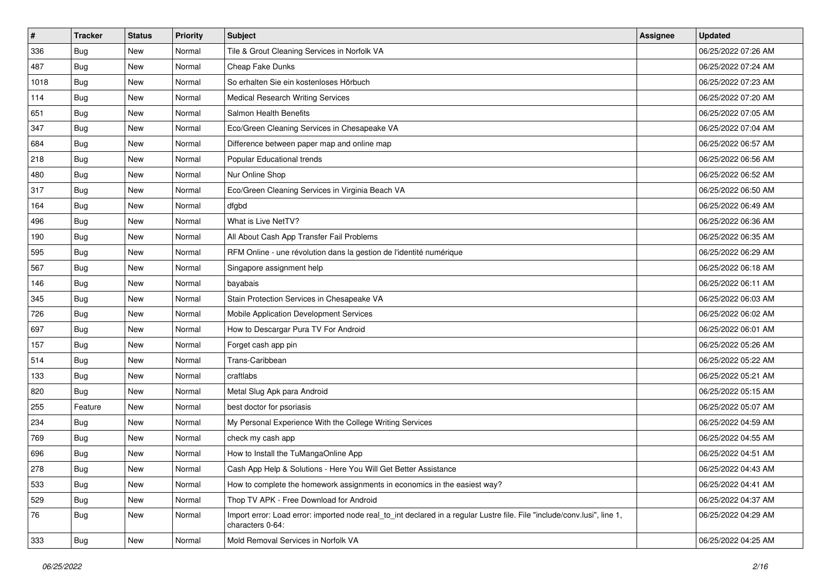| #    | <b>Tracker</b> | <b>Status</b> | <b>Priority</b> | Subject                                                                                                                                      | Assignee | <b>Updated</b>      |
|------|----------------|---------------|-----------------|----------------------------------------------------------------------------------------------------------------------------------------------|----------|---------------------|
| 336  | <b>Bug</b>     | New           | Normal          | Tile & Grout Cleaning Services in Norfolk VA                                                                                                 |          | 06/25/2022 07:26 AM |
| 487  | Bug            | New           | Normal          | Cheap Fake Dunks                                                                                                                             |          | 06/25/2022 07:24 AM |
| 1018 | Bug            | New           | Normal          | So erhalten Sie ein kostenloses Hörbuch                                                                                                      |          | 06/25/2022 07:23 AM |
| 114  | <b>Bug</b>     | New           | Normal          | <b>Medical Research Writing Services</b>                                                                                                     |          | 06/25/2022 07:20 AM |
| 651  | <b>Bug</b>     | New           | Normal          | Salmon Health Benefits                                                                                                                       |          | 06/25/2022 07:05 AM |
| 347  | <b>Bug</b>     | New           | Normal          | Eco/Green Cleaning Services in Chesapeake VA                                                                                                 |          | 06/25/2022 07:04 AM |
| 684  | <b>Bug</b>     | New           | Normal          | Difference between paper map and online map                                                                                                  |          | 06/25/2022 06:57 AM |
| 218  | <b>Bug</b>     | New           | Normal          | Popular Educational trends                                                                                                                   |          | 06/25/2022 06:56 AM |
| 480  | <b>Bug</b>     | New           | Normal          | Nur Online Shop                                                                                                                              |          | 06/25/2022 06:52 AM |
| 317  | Bug            | New           | Normal          | Eco/Green Cleaning Services in Virginia Beach VA                                                                                             |          | 06/25/2022 06:50 AM |
| 164  | <b>Bug</b>     | New           | Normal          | dfgbd                                                                                                                                        |          | 06/25/2022 06:49 AM |
| 496  | Bug            | New           | Normal          | What is Live NetTV?                                                                                                                          |          | 06/25/2022 06:36 AM |
| 190  | Bug            | New           | Normal          | All About Cash App Transfer Fail Problems                                                                                                    |          | 06/25/2022 06:35 AM |
| 595  | Bug            | New           | Normal          | RFM Online - une révolution dans la gestion de l'identité numérique                                                                          |          | 06/25/2022 06:29 AM |
| 567  | <b>Bug</b>     | New           | Normal          | Singapore assignment help                                                                                                                    |          | 06/25/2022 06:18 AM |
| 146  | <b>Bug</b>     | New           | Normal          | bayabais                                                                                                                                     |          | 06/25/2022 06:11 AM |
| 345  | <b>Bug</b>     | New           | Normal          | Stain Protection Services in Chesapeake VA                                                                                                   |          | 06/25/2022 06:03 AM |
| 726  | <b>Bug</b>     | New           | Normal          | Mobile Application Development Services                                                                                                      |          | 06/25/2022 06:02 AM |
| 697  | <b>Bug</b>     | New           | Normal          | How to Descargar Pura TV For Android                                                                                                         |          | 06/25/2022 06:01 AM |
| 157  | <b>Bug</b>     | New           | Normal          | Forget cash app pin                                                                                                                          |          | 06/25/2022 05:26 AM |
| 514  | <b>Bug</b>     | New           | Normal          | Trans-Caribbean                                                                                                                              |          | 06/25/2022 05:22 AM |
| 133  | <b>Bug</b>     | New           | Normal          | craftlabs                                                                                                                                    |          | 06/25/2022 05:21 AM |
| 820  | Bug            | New           | Normal          | Metal Slug Apk para Android                                                                                                                  |          | 06/25/2022 05:15 AM |
| 255  | Feature        | New           | Normal          | best doctor for psoriasis                                                                                                                    |          | 06/25/2022 05:07 AM |
| 234  | Bug            | New           | Normal          | My Personal Experience With the College Writing Services                                                                                     |          | 06/25/2022 04:59 AM |
| 769  | Bug            | New           | Normal          | check my cash app                                                                                                                            |          | 06/25/2022 04:55 AM |
| 696  | <b>Bug</b>     | New           | Normal          | How to Install the TuMangaOnline App                                                                                                         |          | 06/25/2022 04:51 AM |
| 278  | Bug            | New           | Normal          | Cash App Help & Solutions - Here You Will Get Better Assistance                                                                              |          | 06/25/2022 04:43 AM |
| 533  | <b>Bug</b>     | New           | Normal          | How to complete the homework assignments in economics in the easiest way?                                                                    |          | 06/25/2022 04:41 AM |
| 529  | <b>Bug</b>     | New           | Normal          | Thop TV APK - Free Download for Android                                                                                                      |          | 06/25/2022 04:37 AM |
| 76   | Bug            | New           | Normal          | Import error: Load error: imported node real to int declared in a regular Lustre file. File "include/conv.lusi", line 1,<br>characters 0-64: |          | 06/25/2022 04:29 AM |
| 333  | <b>Bug</b>     | New           | Normal          | Mold Removal Services in Norfolk VA                                                                                                          |          | 06/25/2022 04:25 AM |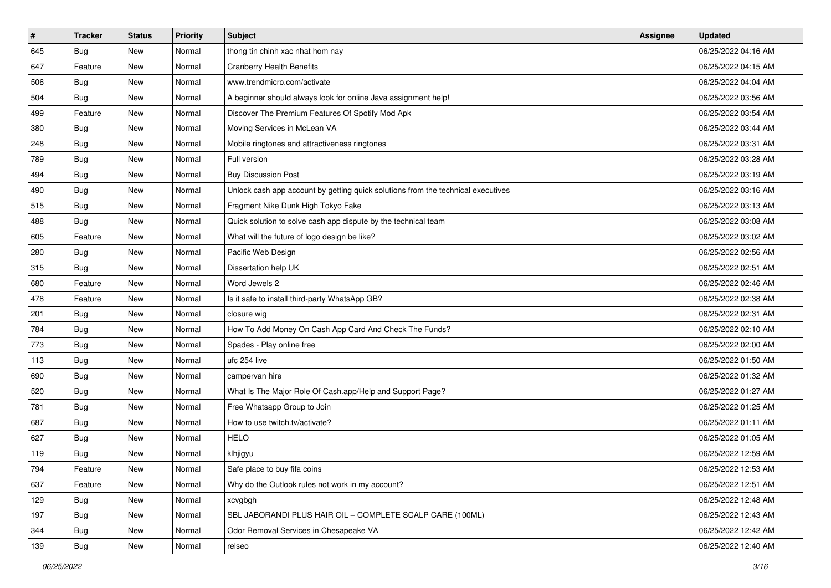| $\sharp$ | <b>Tracker</b> | <b>Status</b> | <b>Priority</b> | Subject                                                                          | Assignee | <b>Updated</b>      |
|----------|----------------|---------------|-----------------|----------------------------------------------------------------------------------|----------|---------------------|
| 645      | <b>Bug</b>     | New           | Normal          | thong tin chinh xac nhat hom nay                                                 |          | 06/25/2022 04:16 AM |
| 647      | Feature        | New           | Normal          | <b>Cranberry Health Benefits</b>                                                 |          | 06/25/2022 04:15 AM |
| 506      | Bug            | New           | Normal          | www.trendmicro.com/activate                                                      |          | 06/25/2022 04:04 AM |
| 504      | <b>Bug</b>     | New           | Normal          | A beginner should always look for online Java assignment help!                   |          | 06/25/2022 03:56 AM |
| 499      | Feature        | New           | Normal          | Discover The Premium Features Of Spotify Mod Apk                                 |          | 06/25/2022 03:54 AM |
| 380      | <b>Bug</b>     | New           | Normal          | Moving Services in McLean VA                                                     |          | 06/25/2022 03:44 AM |
| 248      | Bug            | New           | Normal          | Mobile ringtones and attractiveness ringtones                                    |          | 06/25/2022 03:31 AM |
| 789      | <b>Bug</b>     | New           | Normal          | Full version                                                                     |          | 06/25/2022 03:28 AM |
| 494      | Bug            | New           | Normal          | <b>Buy Discussion Post</b>                                                       |          | 06/25/2022 03:19 AM |
| 490      | Bug            | New           | Normal          | Unlock cash app account by getting quick solutions from the technical executives |          | 06/25/2022 03:16 AM |
| 515      | <b>Bug</b>     | New           | Normal          | Fragment Nike Dunk High Tokyo Fake                                               |          | 06/25/2022 03:13 AM |
| 488      | <b>Bug</b>     | New           | Normal          | Quick solution to solve cash app dispute by the technical team                   |          | 06/25/2022 03:08 AM |
| 605      | Feature        | New           | Normal          | What will the future of logo design be like?                                     |          | 06/25/2022 03:02 AM |
| 280      | <b>Bug</b>     | New           | Normal          | Pacific Web Design                                                               |          | 06/25/2022 02:56 AM |
| 315      | Bug            | New           | Normal          | Dissertation help UK                                                             |          | 06/25/2022 02:51 AM |
| 680      | Feature        | New           | Normal          | Word Jewels 2                                                                    |          | 06/25/2022 02:46 AM |
| 478      | Feature        | New           | Normal          | Is it safe to install third-party WhatsApp GB?                                   |          | 06/25/2022 02:38 AM |
| 201      | Bug            | New           | Normal          | closure wig                                                                      |          | 06/25/2022 02:31 AM |
| 784      | Bug            | New           | Normal          | How To Add Money On Cash App Card And Check The Funds?                           |          | 06/25/2022 02:10 AM |
| 773      | <b>Bug</b>     | New           | Normal          | Spades - Play online free                                                        |          | 06/25/2022 02:00 AM |
| 113      | <b>Bug</b>     | New           | Normal          | ufc 254 live                                                                     |          | 06/25/2022 01:50 AM |
| 690      | Bug            | New           | Normal          | campervan hire                                                                   |          | 06/25/2022 01:32 AM |
| 520      | Bug            | New           | Normal          | What Is The Major Role Of Cash.app/Help and Support Page?                        |          | 06/25/2022 01:27 AM |
| 781      | <b>Bug</b>     | New           | Normal          | Free Whatsapp Group to Join                                                      |          | 06/25/2022 01:25 AM |
| 687      | Bug            | New           | Normal          | How to use twitch.tv/activate?                                                   |          | 06/25/2022 01:11 AM |
| 627      | Bug            | New           | Normal          | <b>HELO</b>                                                                      |          | 06/25/2022 01:05 AM |
| 119      | <b>Bug</b>     | New           | Normal          | klhjigyu                                                                         |          | 06/25/2022 12:59 AM |
| 794      | Feature        | New           | Normal          | Safe place to buy fifa coins                                                     |          | 06/25/2022 12:53 AM |
| 637      | Feature        | New           | Normal          | Why do the Outlook rules not work in my account?                                 |          | 06/25/2022 12:51 AM |
| 129      | <b>Bug</b>     | New           | Normal          | xcvgbgh                                                                          |          | 06/25/2022 12:48 AM |
| 197      | Bug            | New           | Normal          | SBL JABORANDI PLUS HAIR OIL - COMPLETE SCALP CARE (100ML)                        |          | 06/25/2022 12:43 AM |
| 344      | <b>Bug</b>     | New           | Normal          | Odor Removal Services in Chesapeake VA                                           |          | 06/25/2022 12:42 AM |
| 139      | <b>Bug</b>     | New           | Normal          | relseo                                                                           |          | 06/25/2022 12:40 AM |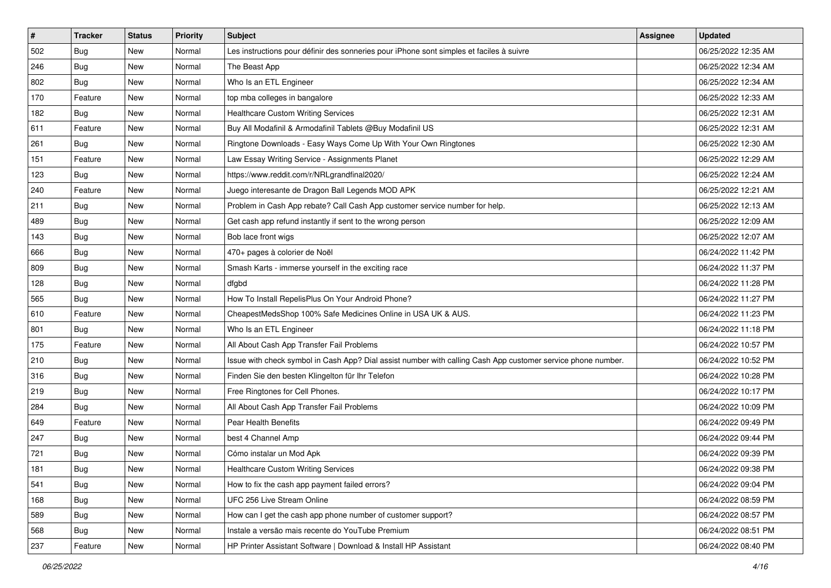| #   | <b>Tracker</b> | <b>Status</b> | <b>Priority</b> | <b>Subject</b>                                                                                               | Assignee | <b>Updated</b>      |
|-----|----------------|---------------|-----------------|--------------------------------------------------------------------------------------------------------------|----------|---------------------|
| 502 | <b>Bug</b>     | New           | Normal          | Les instructions pour définir des sonneries pour iPhone sont simples et faciles à suivre                     |          | 06/25/2022 12:35 AM |
| 246 | Bug            | New           | Normal          | The Beast App                                                                                                |          | 06/25/2022 12:34 AM |
| 802 | <b>Bug</b>     | New           | Normal          | Who Is an ETL Engineer                                                                                       |          | 06/25/2022 12:34 AM |
| 170 | Feature        | New           | Normal          | top mba colleges in bangalore                                                                                |          | 06/25/2022 12:33 AM |
| 182 | <b>Bug</b>     | New           | Normal          | <b>Healthcare Custom Writing Services</b>                                                                    |          | 06/25/2022 12:31 AM |
| 611 | Feature        | New           | Normal          | Buy All Modafinil & Armodafinil Tablets @Buy Modafinil US                                                    |          | 06/25/2022 12:31 AM |
| 261 | <b>Bug</b>     | New           | Normal          | Ringtone Downloads - Easy Ways Come Up With Your Own Ringtones                                               |          | 06/25/2022 12:30 AM |
| 151 | Feature        | New           | Normal          | Law Essay Writing Service - Assignments Planet                                                               |          | 06/25/2022 12:29 AM |
| 123 | Bug            | New           | Normal          | https://www.reddit.com/r/NRLgrandfinal2020/                                                                  |          | 06/25/2022 12:24 AM |
| 240 | Feature        | New           | Normal          | Juego interesante de Dragon Ball Legends MOD APK                                                             |          | 06/25/2022 12:21 AM |
| 211 | Bug            | New           | Normal          | Problem in Cash App rebate? Call Cash App customer service number for help.                                  |          | 06/25/2022 12:13 AM |
| 489 | Bug            | New           | Normal          | Get cash app refund instantly if sent to the wrong person                                                    |          | 06/25/2022 12:09 AM |
| 143 | Bug            | New           | Normal          | Bob lace front wigs                                                                                          |          | 06/25/2022 12:07 AM |
| 666 | <b>Bug</b>     | New           | Normal          | 470+ pages à colorier de Noël                                                                                |          | 06/24/2022 11:42 PM |
| 809 | Bug            | New           | Normal          | Smash Karts - immerse yourself in the exciting race                                                          |          | 06/24/2022 11:37 PM |
| 128 | Bug            | New           | Normal          | dfgbd                                                                                                        |          | 06/24/2022 11:28 PM |
| 565 | <b>Bug</b>     | New           | Normal          | How To Install RepelisPlus On Your Android Phone?                                                            |          | 06/24/2022 11:27 PM |
| 610 | Feature        | New           | Normal          | CheapestMedsShop 100% Safe Medicines Online in USA UK & AUS.                                                 |          | 06/24/2022 11:23 PM |
| 801 | <b>Bug</b>     | New           | Normal          | Who Is an ETL Engineer                                                                                       |          | 06/24/2022 11:18 PM |
| 175 | Feature        | New           | Normal          | All About Cash App Transfer Fail Problems                                                                    |          | 06/24/2022 10:57 PM |
| 210 | <b>Bug</b>     | New           | Normal          | Issue with check symbol in Cash App? Dial assist number with calling Cash App customer service phone number. |          | 06/24/2022 10:52 PM |
| 316 | Bug            | New           | Normal          | Finden Sie den besten Klingelton für Ihr Telefon                                                             |          | 06/24/2022 10:28 PM |
| 219 | Bug            | New           | Normal          | Free Ringtones for Cell Phones.                                                                              |          | 06/24/2022 10:17 PM |
| 284 | <b>Bug</b>     | New           | Normal          | All About Cash App Transfer Fail Problems                                                                    |          | 06/24/2022 10:09 PM |
| 649 | Feature        | New           | Normal          | Pear Health Benefits                                                                                         |          | 06/24/2022 09:49 PM |
| 247 | Bug            | New           | Normal          | best 4 Channel Amp                                                                                           |          | 06/24/2022 09:44 PM |
| 721 | Bug            | New           | Normal          | Cómo instalar un Mod Apk                                                                                     |          | 06/24/2022 09:39 PM |
| 181 | <b>Bug</b>     | New           | Normal          | <b>Healthcare Custom Writing Services</b>                                                                    |          | 06/24/2022 09:38 PM |
| 541 | Bug            | New           | Normal          | How to fix the cash app payment failed errors?                                                               |          | 06/24/2022 09:04 PM |
| 168 | <b>Bug</b>     | New           | Normal          | UFC 256 Live Stream Online                                                                                   |          | 06/24/2022 08:59 PM |
| 589 | <b>Bug</b>     | New           | Normal          | How can I get the cash app phone number of customer support?                                                 |          | 06/24/2022 08:57 PM |
| 568 | <b>Bug</b>     | New           | Normal          | Instale a versão mais recente do YouTube Premium                                                             |          | 06/24/2022 08:51 PM |
| 237 | Feature        | New           | Normal          | HP Printer Assistant Software   Download & Install HP Assistant                                              |          | 06/24/2022 08:40 PM |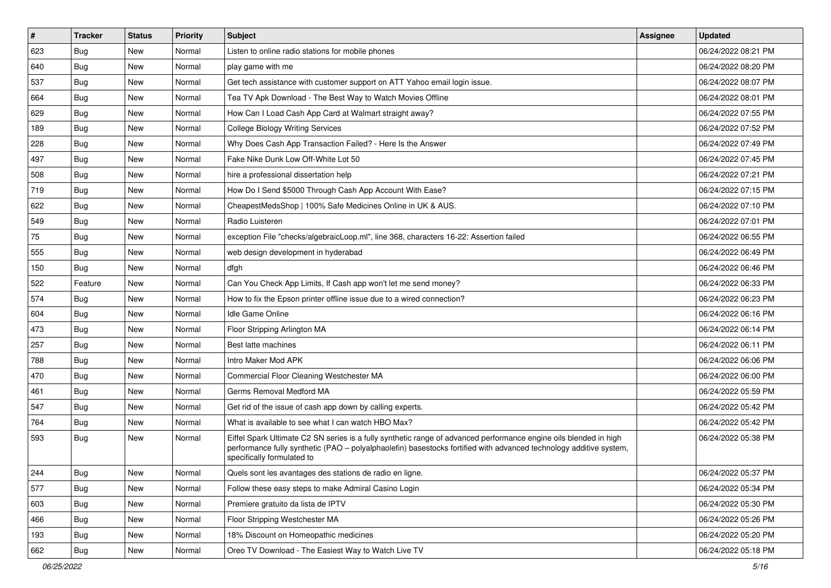| #   | <b>Tracker</b> | <b>Status</b> | <b>Priority</b> | <b>Subject</b>                                                                                                                                                                                                                                                        | Assignee | <b>Updated</b>      |
|-----|----------------|---------------|-----------------|-----------------------------------------------------------------------------------------------------------------------------------------------------------------------------------------------------------------------------------------------------------------------|----------|---------------------|
| 623 | <b>Bug</b>     | New           | Normal          | Listen to online radio stations for mobile phones                                                                                                                                                                                                                     |          | 06/24/2022 08:21 PM |
| 640 | Bug            | New           | Normal          | play game with me                                                                                                                                                                                                                                                     |          | 06/24/2022 08:20 PM |
| 537 | <b>Bug</b>     | New           | Normal          | Get tech assistance with customer support on ATT Yahoo email login issue.                                                                                                                                                                                             |          | 06/24/2022 08:07 PM |
| 664 | <b>Bug</b>     | New           | Normal          | Tea TV Apk Download - The Best Way to Watch Movies Offline                                                                                                                                                                                                            |          | 06/24/2022 08:01 PM |
| 629 | <b>Bug</b>     | New           | Normal          | How Can I Load Cash App Card at Walmart straight away?                                                                                                                                                                                                                |          | 06/24/2022 07:55 PM |
| 189 | <b>Bug</b>     | New           | Normal          | <b>College Biology Writing Services</b>                                                                                                                                                                                                                               |          | 06/24/2022 07:52 PM |
| 228 | Bug            | New           | Normal          | Why Does Cash App Transaction Failed? - Here Is the Answer                                                                                                                                                                                                            |          | 06/24/2022 07:49 PM |
| 497 | Bug            | <b>New</b>    | Normal          | Fake Nike Dunk Low Off-White Lot 50                                                                                                                                                                                                                                   |          | 06/24/2022 07:45 PM |
| 508 | Bug            | New           | Normal          | hire a professional dissertation help                                                                                                                                                                                                                                 |          | 06/24/2022 07:21 PM |
| 719 | Bug            | New           | Normal          | How Do I Send \$5000 Through Cash App Account With Ease?                                                                                                                                                                                                              |          | 06/24/2022 07:15 PM |
| 622 | Bug            | New           | Normal          | CheapestMedsShop   100% Safe Medicines Online in UK & AUS.                                                                                                                                                                                                            |          | 06/24/2022 07:10 PM |
| 549 | <b>Bug</b>     | New           | Normal          | Radio Luisteren                                                                                                                                                                                                                                                       |          | 06/24/2022 07:01 PM |
| 75  | Bug            | New           | Normal          | exception File "checks/algebraicLoop.ml", line 368, characters 16-22: Assertion failed                                                                                                                                                                                |          | 06/24/2022 06:55 PM |
| 555 | <b>Bug</b>     | New           | Normal          | web design development in hyderabad                                                                                                                                                                                                                                   |          | 06/24/2022 06:49 PM |
| 150 | <b>Bug</b>     | New           | Normal          | dfgh                                                                                                                                                                                                                                                                  |          | 06/24/2022 06:46 PM |
| 522 | Feature        | New           | Normal          | Can You Check App Limits, If Cash app won't let me send money?                                                                                                                                                                                                        |          | 06/24/2022 06:33 PM |
| 574 | <b>Bug</b>     | New           | Normal          | How to fix the Epson printer offline issue due to a wired connection?                                                                                                                                                                                                 |          | 06/24/2022 06:23 PM |
| 604 | <b>Bug</b>     | New           | Normal          | Idle Game Online                                                                                                                                                                                                                                                      |          | 06/24/2022 06:16 PM |
| 473 | <b>Bug</b>     | New           | Normal          | Floor Stripping Arlington MA                                                                                                                                                                                                                                          |          | 06/24/2022 06:14 PM |
| 257 | <b>Bug</b>     | New           | Normal          | Best latte machines                                                                                                                                                                                                                                                   |          | 06/24/2022 06:11 PM |
| 788 | <b>Bug</b>     | New           | Normal          | Intro Maker Mod APK                                                                                                                                                                                                                                                   |          | 06/24/2022 06:06 PM |
| 470 | <b>Bug</b>     | New           | Normal          | Commercial Floor Cleaning Westchester MA                                                                                                                                                                                                                              |          | 06/24/2022 06:00 PM |
| 461 | Bug            | New           | Normal          | Germs Removal Medford MA                                                                                                                                                                                                                                              |          | 06/24/2022 05:59 PM |
| 547 | <b>Bug</b>     | New           | Normal          | Get rid of the issue of cash app down by calling experts.                                                                                                                                                                                                             |          | 06/24/2022 05:42 PM |
| 764 | <b>Bug</b>     | New           | Normal          | What is available to see what I can watch HBO Max?                                                                                                                                                                                                                    |          | 06/24/2022 05:42 PM |
| 593 | Bug            | <b>New</b>    | Normal          | Eiffel Spark Ultimate C2 SN series is a fully synthetic range of advanced performance engine oils blended in high<br>performance fully synthetic (PAO - polyalphaolefin) basestocks fortified with advanced technology additive system,<br>specifically formulated to |          | 06/24/2022 05:38 PM |
| 244 | Bug            | New           | Normal          | Quels sont les avantages des stations de radio en ligne.                                                                                                                                                                                                              |          | 06/24/2022 05:37 PM |
| 577 | <b>Bug</b>     | New           | Normal          | Follow these easy steps to make Admiral Casino Login                                                                                                                                                                                                                  |          | 06/24/2022 05:34 PM |
| 603 | <b>Bug</b>     | New           | Normal          | Premiere gratuito da lista de IPTV                                                                                                                                                                                                                                    |          | 06/24/2022 05:30 PM |
| 466 | Bug            | New           | Normal          | Floor Stripping Westchester MA                                                                                                                                                                                                                                        |          | 06/24/2022 05:26 PM |
| 193 | <b>Bug</b>     | New           | Normal          | 18% Discount on Homeopathic medicines                                                                                                                                                                                                                                 |          | 06/24/2022 05:20 PM |
| 662 | <b>Bug</b>     | New           | Normal          | Oreo TV Download - The Easiest Way to Watch Live TV                                                                                                                                                                                                                   |          | 06/24/2022 05:18 PM |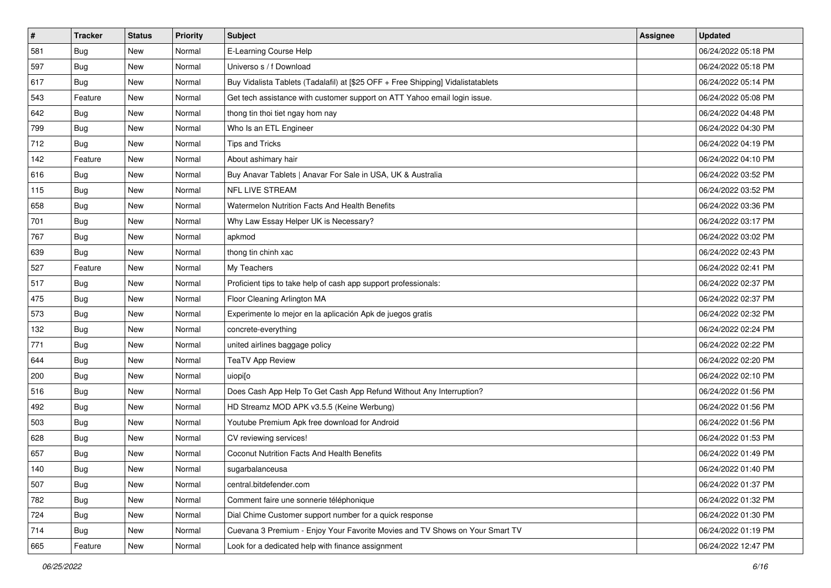| #   | <b>Tracker</b> | <b>Status</b> | <b>Priority</b> | Subject                                                                          | Assignee | <b>Updated</b>      |
|-----|----------------|---------------|-----------------|----------------------------------------------------------------------------------|----------|---------------------|
| 581 | <b>Bug</b>     | New           | Normal          | E-Learning Course Help                                                           |          | 06/24/2022 05:18 PM |
| 597 | Bug            | New           | Normal          | Universo s / f Download                                                          |          | 06/24/2022 05:18 PM |
| 617 | <b>Bug</b>     | New           | Normal          | Buy Vidalista Tablets (Tadalafil) at [\$25 OFF + Free Shipping] Vidalistatablets |          | 06/24/2022 05:14 PM |
| 543 | Feature        | New           | Normal          | Get tech assistance with customer support on ATT Yahoo email login issue.        |          | 06/24/2022 05:08 PM |
| 642 | Bug            | New           | Normal          | thong tin thoi tiet ngay hom nay                                                 |          | 06/24/2022 04:48 PM |
| 799 | Bug            | New           | Normal          | Who Is an ETL Engineer                                                           |          | 06/24/2022 04:30 PM |
| 712 | <b>Bug</b>     | New           | Normal          | <b>Tips and Tricks</b>                                                           |          | 06/24/2022 04:19 PM |
| 142 | Feature        | New           | Normal          | About ashimary hair                                                              |          | 06/24/2022 04:10 PM |
| 616 | <b>Bug</b>     | New           | Normal          | Buy Anavar Tablets   Anavar For Sale in USA, UK & Australia                      |          | 06/24/2022 03:52 PM |
| 115 | Bug            | New           | Normal          | NFL LIVE STREAM                                                                  |          | 06/24/2022 03:52 PM |
| 658 | <b>Bug</b>     | New           | Normal          | Watermelon Nutrition Facts And Health Benefits                                   |          | 06/24/2022 03:36 PM |
| 701 | Bug            | New           | Normal          | Why Law Essay Helper UK is Necessary?                                            |          | 06/24/2022 03:17 PM |
| 767 | <b>Bug</b>     | New           | Normal          | apkmod                                                                           |          | 06/24/2022 03:02 PM |
| 639 | Bug            | New           | Normal          | thong tin chinh xac                                                              |          | 06/24/2022 02:43 PM |
| 527 | Feature        | New           | Normal          | My Teachers                                                                      |          | 06/24/2022 02:41 PM |
| 517 | <b>Bug</b>     | New           | Normal          | Proficient tips to take help of cash app support professionals:                  |          | 06/24/2022 02:37 PM |
| 475 | <b>Bug</b>     | New           | Normal          | Floor Cleaning Arlington MA                                                      |          | 06/24/2022 02:37 PM |
| 573 | <b>Bug</b>     | New           | Normal          | Experimente lo mejor en la aplicación Apk de juegos gratis                       |          | 06/24/2022 02:32 PM |
| 132 | <b>Bug</b>     | New           | Normal          | concrete-everything                                                              |          | 06/24/2022 02:24 PM |
| 771 | <b>Bug</b>     | New           | Normal          | united airlines baggage policy                                                   |          | 06/24/2022 02:22 PM |
| 644 | <b>Bug</b>     | New           | Normal          | <b>TeaTV App Review</b>                                                          |          | 06/24/2022 02:20 PM |
| 200 | <b>Bug</b>     | New           | Normal          | uiopi[o                                                                          |          | 06/24/2022 02:10 PM |
| 516 | <b>Bug</b>     | New           | Normal          | Does Cash App Help To Get Cash App Refund Without Any Interruption?              |          | 06/24/2022 01:56 PM |
| 492 | <b>Bug</b>     | New           | Normal          | HD Streamz MOD APK v3.5.5 (Keine Werbung)                                        |          | 06/24/2022 01:56 PM |
| 503 | <b>Bug</b>     | New           | Normal          | Youtube Premium Apk free download for Android                                    |          | 06/24/2022 01:56 PM |
| 628 | <b>Bug</b>     | New           | Normal          | CV reviewing services!                                                           |          | 06/24/2022 01:53 PM |
| 657 | <b>Bug</b>     | New           | Normal          | <b>Coconut Nutrition Facts And Health Benefits</b>                               |          | 06/24/2022 01:49 PM |
| 140 | Bug            | New           | Normal          | sugarbalanceusa                                                                  |          | 06/24/2022 01:40 PM |
| 507 | <b>Bug</b>     | New           | Normal          | central.bitdefender.com                                                          |          | 06/24/2022 01:37 PM |
| 782 | <b>Bug</b>     | New           | Normal          | Comment faire une sonnerie téléphonique                                          |          | 06/24/2022 01:32 PM |
| 724 | <b>Bug</b>     | New           | Normal          | Dial Chime Customer support number for a quick response                          |          | 06/24/2022 01:30 PM |
| 714 | <b>Bug</b>     | New           | Normal          | Cuevana 3 Premium - Enjoy Your Favorite Movies and TV Shows on Your Smart TV     |          | 06/24/2022 01:19 PM |
| 665 | Feature        | New           | Normal          | Look for a dedicated help with finance assignment                                |          | 06/24/2022 12:47 PM |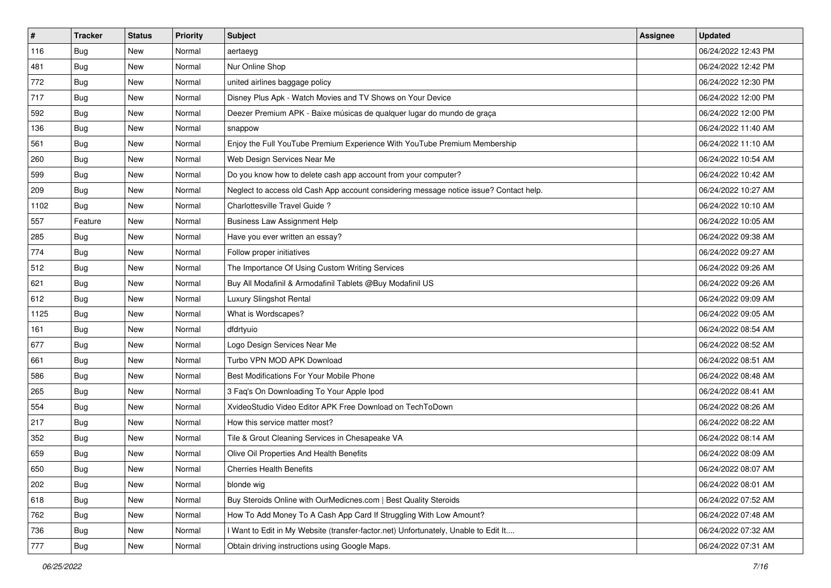| $\vert$ # | <b>Tracker</b> | <b>Status</b> | <b>Priority</b> | Subject                                                                                | Assignee | <b>Updated</b>      |
|-----------|----------------|---------------|-----------------|----------------------------------------------------------------------------------------|----------|---------------------|
| 116       | <b>Bug</b>     | New           | Normal          | aertaeyg                                                                               |          | 06/24/2022 12:43 PM |
| 481       | <b>Bug</b>     | New           | Normal          | Nur Online Shop                                                                        |          | 06/24/2022 12:42 PM |
| 772       | <b>Bug</b>     | New           | Normal          | united airlines baggage policy                                                         |          | 06/24/2022 12:30 PM |
| 717       | <b>Bug</b>     | New           | Normal          | Disney Plus Apk - Watch Movies and TV Shows on Your Device                             |          | 06/24/2022 12:00 PM |
| 592       | Bug            | New           | Normal          | Deezer Premium APK - Baixe músicas de qualquer lugar do mundo de graça                 |          | 06/24/2022 12:00 PM |
| 136       | Bug            | New           | Normal          | snappow                                                                                |          | 06/24/2022 11:40 AM |
| 561       | Bug            | New           | Normal          | Enjoy the Full YouTube Premium Experience With YouTube Premium Membership              |          | 06/24/2022 11:10 AM |
| 260       | Bug            | New           | Normal          | Web Design Services Near Me                                                            |          | 06/24/2022 10:54 AM |
| 599       | Bug            | New           | Normal          | Do you know how to delete cash app account from your computer?                         |          | 06/24/2022 10:42 AM |
| 209       | Bug            | New           | Normal          | Neglect to access old Cash App account considering message notice issue? Contact help. |          | 06/24/2022 10:27 AM |
| 1102      | Bug            | New           | Normal          | Charlottesville Travel Guide?                                                          |          | 06/24/2022 10:10 AM |
| 557       | Feature        | New           | Normal          | <b>Business Law Assignment Help</b>                                                    |          | 06/24/2022 10:05 AM |
| 285       | Bug            | New           | Normal          | Have you ever written an essay?                                                        |          | 06/24/2022 09:38 AM |
| 774       | Bug            | New           | Normal          | Follow proper initiatives                                                              |          | 06/24/2022 09:27 AM |
| 512       | Bug            | New           | Normal          | The Importance Of Using Custom Writing Services                                        |          | 06/24/2022 09:26 AM |
| 621       | Bug            | New           | Normal          | Buy All Modafinil & Armodafinil Tablets @Buy Modafinil US                              |          | 06/24/2022 09:26 AM |
| 612       | Bug            | New           | Normal          | Luxury Slingshot Rental                                                                |          | 06/24/2022 09:09 AM |
| 1125      | Bug            | New           | Normal          | What is Wordscapes?                                                                    |          | 06/24/2022 09:05 AM |
| 161       | <b>Bug</b>     | New           | Normal          | dfdrtyuio                                                                              |          | 06/24/2022 08:54 AM |
| 677       | <b>Bug</b>     | New           | Normal          | Logo Design Services Near Me                                                           |          | 06/24/2022 08:52 AM |
| 661       | Bug            | New           | Normal          | Turbo VPN MOD APK Download                                                             |          | 06/24/2022 08:51 AM |
| 586       | Bug            | New           | Normal          | Best Modifications For Your Mobile Phone                                               |          | 06/24/2022 08:48 AM |
| 265       | Bug            | New           | Normal          | 3 Faq's On Downloading To Your Apple Ipod                                              |          | 06/24/2022 08:41 AM |
| 554       | <b>Bug</b>     | New           | Normal          | XvideoStudio Video Editor APK Free Download on TechToDown                              |          | 06/24/2022 08:26 AM |
| 217       | Bug            | New           | Normal          | How this service matter most?                                                          |          | 06/24/2022 08:22 AM |
| 352       | Bug            | New           | Normal          | Tile & Grout Cleaning Services in Chesapeake VA                                        |          | 06/24/2022 08:14 AM |
| 659       | <b>Bug</b>     | New           | Normal          | Olive Oil Properties And Health Benefits                                               |          | 06/24/2022 08:09 AM |
| 650       | <b>Bug</b>     | New           | Normal          | <b>Cherries Health Benefits</b>                                                        |          | 06/24/2022 08:07 AM |
| 202       | <b>Bug</b>     | New           | Normal          | blonde wig                                                                             |          | 06/24/2022 08:01 AM |
| 618       | <b>Bug</b>     | New           | Normal          | Buy Steroids Online with OurMedicnes.com   Best Quality Steroids                       |          | 06/24/2022 07:52 AM |
| 762       | Bug            | New           | Normal          | How To Add Money To A Cash App Card If Struggling With Low Amount?                     |          | 06/24/2022 07:48 AM |
| 736       | <b>Bug</b>     | New           | Normal          | I Want to Edit in My Website (transfer-factor.net) Unfortunately, Unable to Edit It    |          | 06/24/2022 07:32 AM |
| 777       | <b>Bug</b>     | New           | Normal          | Obtain driving instructions using Google Maps.                                         |          | 06/24/2022 07:31 AM |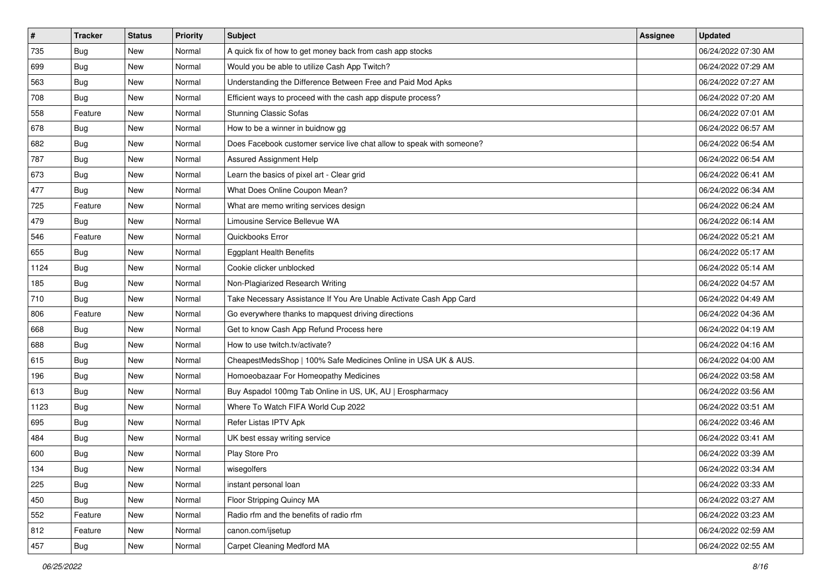| $\sharp$ | <b>Tracker</b> | <b>Status</b> | Priority | <b>Subject</b>                                                        | <b>Assignee</b> | <b>Updated</b>      |
|----------|----------------|---------------|----------|-----------------------------------------------------------------------|-----------------|---------------------|
| 735      | <b>Bug</b>     | New           | Normal   | A quick fix of how to get money back from cash app stocks             |                 | 06/24/2022 07:30 AM |
| 699      | <b>Bug</b>     | New           | Normal   | Would you be able to utilize Cash App Twitch?                         |                 | 06/24/2022 07:29 AM |
| 563      | Bug            | New           | Normal   | Understanding the Difference Between Free and Paid Mod Apks           |                 | 06/24/2022 07:27 AM |
| 708      | <b>Bug</b>     | New           | Normal   | Efficient ways to proceed with the cash app dispute process?          |                 | 06/24/2022 07:20 AM |
| 558      | Feature        | New           | Normal   | <b>Stunning Classic Sofas</b>                                         |                 | 06/24/2022 07:01 AM |
| 678      | <b>Bug</b>     | New           | Normal   | How to be a winner in buidnow gg                                      |                 | 06/24/2022 06:57 AM |
| 682      | Bug            | New           | Normal   | Does Facebook customer service live chat allow to speak with someone? |                 | 06/24/2022 06:54 AM |
| 787      | <b>Bug</b>     | New           | Normal   | Assured Assignment Help                                               |                 | 06/24/2022 06:54 AM |
| 673      | <b>Bug</b>     | New           | Normal   | Learn the basics of pixel art - Clear grid                            |                 | 06/24/2022 06:41 AM |
| 477      | Bug            | New           | Normal   | What Does Online Coupon Mean?                                         |                 | 06/24/2022 06:34 AM |
| 725      | Feature        | New           | Normal   | What are memo writing services design                                 |                 | 06/24/2022 06:24 AM |
| 479      | <b>Bug</b>     | New           | Normal   | Limousine Service Bellevue WA                                         |                 | 06/24/2022 06:14 AM |
| 546      | Feature        | New           | Normal   | Quickbooks Error                                                      |                 | 06/24/2022 05:21 AM |
| 655      | Bug            | New           | Normal   | <b>Eggplant Health Benefits</b>                                       |                 | 06/24/2022 05:17 AM |
| 1124     | Bug            | New           | Normal   | Cookie clicker unblocked                                              |                 | 06/24/2022 05:14 AM |
| 185      | Bug            | New           | Normal   | Non-Plagiarized Research Writing                                      |                 | 06/24/2022 04:57 AM |
| 710      | <b>Bug</b>     | New           | Normal   | Take Necessary Assistance If You Are Unable Activate Cash App Card    |                 | 06/24/2022 04:49 AM |
| 806      | Feature        | New           | Normal   | Go everywhere thanks to mapquest driving directions                   |                 | 06/24/2022 04:36 AM |
| 668      | <b>Bug</b>     | New           | Normal   | Get to know Cash App Refund Process here                              |                 | 06/24/2022 04:19 AM |
| 688      | Bug            | New           | Normal   | How to use twitch.tv/activate?                                        |                 | 06/24/2022 04:16 AM |
| 615      | Bug            | New           | Normal   | CheapestMedsShop   100% Safe Medicines Online in USA UK & AUS.        |                 | 06/24/2022 04:00 AM |
| 196      | <b>Bug</b>     | New           | Normal   | Homoeobazaar For Homeopathy Medicines                                 |                 | 06/24/2022 03:58 AM |
| 613      | Bug            | New           | Normal   | Buy Aspadol 100mg Tab Online in US, UK, AU   Erospharmacy             |                 | 06/24/2022 03:56 AM |
| 1123     | <b>Bug</b>     | New           | Normal   | Where To Watch FIFA World Cup 2022                                    |                 | 06/24/2022 03:51 AM |
| 695      | Bug            | New           | Normal   | Refer Listas IPTV Apk                                                 |                 | 06/24/2022 03:46 AM |
| 484      | Bug            | New           | Normal   | UK best essay writing service                                         |                 | 06/24/2022 03:41 AM |
| 600      | <b>Bug</b>     | New           | Normal   | Play Store Pro                                                        |                 | 06/24/2022 03:39 AM |
| 134      | Bug            | New           | Normal   | wisegolfers                                                           |                 | 06/24/2022 03:34 AM |
| 225      | <b>Bug</b>     | New           | Normal   | instant personal loan                                                 |                 | 06/24/2022 03:33 AM |
| 450      | <b>Bug</b>     | New           | Normal   | Floor Stripping Quincy MA                                             |                 | 06/24/2022 03:27 AM |
| 552      | Feature        | New           | Normal   | Radio rfm and the benefits of radio rfm                               |                 | 06/24/2022 03:23 AM |
| 812      | Feature        | New           | Normal   | canon.com/ijsetup                                                     |                 | 06/24/2022 02:59 AM |
| 457      | <b>Bug</b>     | New           | Normal   | Carpet Cleaning Medford MA                                            |                 | 06/24/2022 02:55 AM |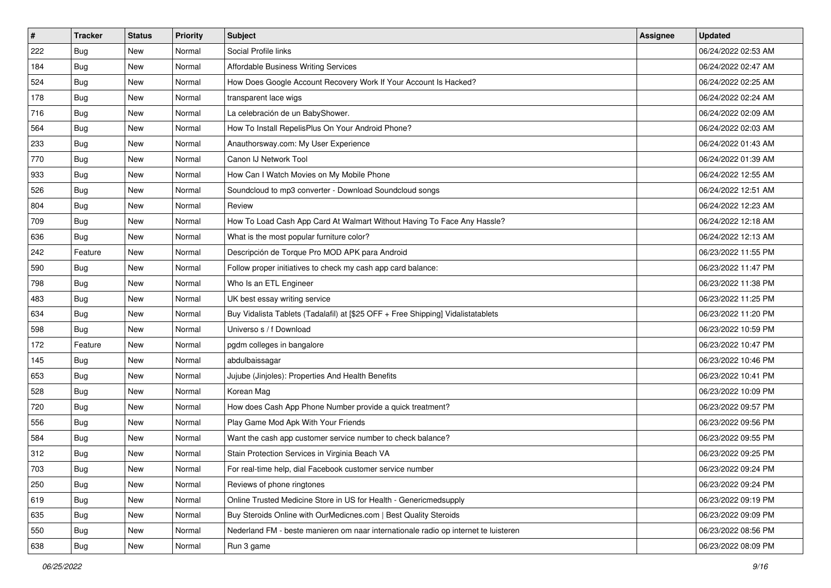| #   | <b>Tracker</b> | <b>Status</b> | <b>Priority</b> | <b>Subject</b>                                                                      | Assignee | <b>Updated</b>      |
|-----|----------------|---------------|-----------------|-------------------------------------------------------------------------------------|----------|---------------------|
| 222 | <b>Bug</b>     | New           | Normal          | Social Profile links                                                                |          | 06/24/2022 02:53 AM |
| 184 | <b>Bug</b>     | New           | Normal          | Affordable Business Writing Services                                                |          | 06/24/2022 02:47 AM |
| 524 | <b>Bug</b>     | New           | Normal          | How Does Google Account Recovery Work If Your Account Is Hacked?                    |          | 06/24/2022 02:25 AM |
| 178 | <b>Bug</b>     | New           | Normal          | transparent lace wigs                                                               |          | 06/24/2022 02:24 AM |
| 716 | Bug            | New           | Normal          | La celebración de un BabyShower.                                                    |          | 06/24/2022 02:09 AM |
| 564 | Bug            | New           | Normal          | How To Install RepelisPlus On Your Android Phone?                                   |          | 06/24/2022 02:03 AM |
| 233 | <b>Bug</b>     | New           | Normal          | Anauthorsway.com: My User Experience                                                |          | 06/24/2022 01:43 AM |
| 770 | Bug            | New           | Normal          | Canon IJ Network Tool                                                               |          | 06/24/2022 01:39 AM |
| 933 | Bug            | New           | Normal          | How Can I Watch Movies on My Mobile Phone                                           |          | 06/24/2022 12:55 AM |
| 526 | Bug            | New           | Normal          | Soundcloud to mp3 converter - Download Soundcloud songs                             |          | 06/24/2022 12:51 AM |
| 804 | Bug            | New           | Normal          | Review                                                                              |          | 06/24/2022 12:23 AM |
| 709 | Bug            | New           | Normal          | How To Load Cash App Card At Walmart Without Having To Face Any Hassle?             |          | 06/24/2022 12:18 AM |
| 636 | <b>Bug</b>     | New           | Normal          | What is the most popular furniture color?                                           |          | 06/24/2022 12:13 AM |
| 242 | Feature        | New           | Normal          | Descripción de Torque Pro MOD APK para Android                                      |          | 06/23/2022 11:55 PM |
| 590 | Bug            | New           | Normal          | Follow proper initiatives to check my cash app card balance:                        |          | 06/23/2022 11:47 PM |
| 798 | Bug            | New           | Normal          | Who Is an ETL Engineer                                                              |          | 06/23/2022 11:38 PM |
| 483 | <b>Bug</b>     | New           | Normal          | UK best essay writing service                                                       |          | 06/23/2022 11:25 PM |
| 634 | Bug            | New           | Normal          | Buy Vidalista Tablets (Tadalafil) at [\$25 OFF + Free Shipping] Vidalistatablets    |          | 06/23/2022 11:20 PM |
| 598 | <b>Bug</b>     | New           | Normal          | Universo s / f Download                                                             |          | 06/23/2022 10:59 PM |
| 172 | Feature        | New           | Normal          | pgdm colleges in bangalore                                                          |          | 06/23/2022 10:47 PM |
| 145 | <b>Bug</b>     | New           | Normal          | abdulbaissagar                                                                      |          | 06/23/2022 10:46 PM |
| 653 | <b>Bug</b>     | New           | Normal          | Jujube (Jinjoles): Properties And Health Benefits                                   |          | 06/23/2022 10:41 PM |
| 528 | Bug            | New           | Normal          | Korean Mag                                                                          |          | 06/23/2022 10:09 PM |
| 720 | <b>Bug</b>     | New           | Normal          | How does Cash App Phone Number provide a quick treatment?                           |          | 06/23/2022 09:57 PM |
| 556 | Bug            | New           | Normal          | Play Game Mod Apk With Your Friends                                                 |          | 06/23/2022 09:56 PM |
| 584 | <b>Bug</b>     | New           | Normal          | Want the cash app customer service number to check balance?                         |          | 06/23/2022 09:55 PM |
| 312 | <b>Bug</b>     | New           | Normal          | Stain Protection Services in Virginia Beach VA                                      |          | 06/23/2022 09:25 PM |
| 703 | Bug            | New           | Normal          | For real-time help, dial Facebook customer service number                           |          | 06/23/2022 09:24 PM |
| 250 | Bug            | New           | Normal          | Reviews of phone ringtones                                                          |          | 06/23/2022 09:24 PM |
| 619 | <b>Bug</b>     | New           | Normal          | Online Trusted Medicine Store in US for Health - Genericmedsupply                   |          | 06/23/2022 09:19 PM |
| 635 | Bug            | New           | Normal          | Buy Steroids Online with OurMedicnes.com   Best Quality Steroids                    |          | 06/23/2022 09:09 PM |
| 550 | <b>Bug</b>     | New           | Normal          | Nederland FM - beste manieren om naar internationale radio op internet te luisteren |          | 06/23/2022 08:56 PM |
| 638 | <b>Bug</b>     | New           | Normal          | Run 3 game                                                                          |          | 06/23/2022 08:09 PM |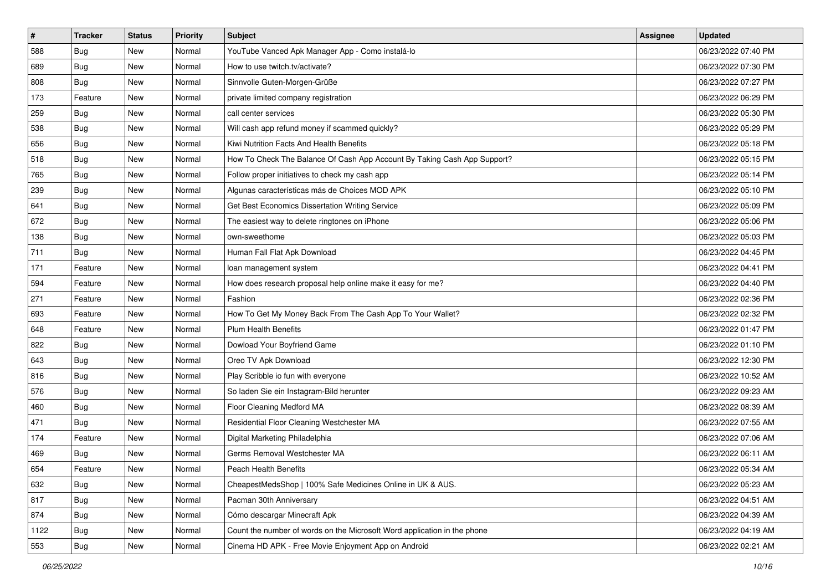| $\sharp$ | <b>Tracker</b> | <b>Status</b> | <b>Priority</b> | Subject                                                                  | <b>Assignee</b> | <b>Updated</b>      |
|----------|----------------|---------------|-----------------|--------------------------------------------------------------------------|-----------------|---------------------|
| 588      | Bug            | New           | Normal          | YouTube Vanced Apk Manager App - Como instalá-lo                         |                 | 06/23/2022 07:40 PM |
| 689      | Bug            | New           | Normal          | How to use twitch.tv/activate?                                           |                 | 06/23/2022 07:30 PM |
| 808      | Bug            | New           | Normal          | Sinnvolle Guten-Morgen-Grüße                                             |                 | 06/23/2022 07:27 PM |
| 173      | Feature        | New           | Normal          | private limited company registration                                     |                 | 06/23/2022 06:29 PM |
| 259      | <b>Bug</b>     | New           | Normal          | call center services                                                     |                 | 06/23/2022 05:30 PM |
| 538      | Bug            | New           | Normal          | Will cash app refund money if scammed quickly?                           |                 | 06/23/2022 05:29 PM |
| 656      | Bug            | New           | Normal          | Kiwi Nutrition Facts And Health Benefits                                 |                 | 06/23/2022 05:18 PM |
| 518      | <b>Bug</b>     | New           | Normal          | How To Check The Balance Of Cash App Account By Taking Cash App Support? |                 | 06/23/2022 05:15 PM |
| 765      | Bug            | New           | Normal          | Follow proper initiatives to check my cash app                           |                 | 06/23/2022 05:14 PM |
| 239      | Bug            | New           | Normal          | Algunas características más de Choices MOD APK                           |                 | 06/23/2022 05:10 PM |
| 641      | <b>Bug</b>     | New           | Normal          | Get Best Economics Dissertation Writing Service                          |                 | 06/23/2022 05:09 PM |
| 672      | Bug            | New           | Normal          | The easiest way to delete ringtones on iPhone                            |                 | 06/23/2022 05:06 PM |
| 138      | <b>Bug</b>     | New           | Normal          | own-sweethome                                                            |                 | 06/23/2022 05:03 PM |
| 711      | <b>Bug</b>     | New           | Normal          | Human Fall Flat Apk Download                                             |                 | 06/23/2022 04:45 PM |
| 171      | Feature        | New           | Normal          | loan management system                                                   |                 | 06/23/2022 04:41 PM |
| 594      | Feature        | New           | Normal          | How does research proposal help online make it easy for me?              |                 | 06/23/2022 04:40 PM |
| 271      | Feature        | New           | Normal          | Fashion                                                                  |                 | 06/23/2022 02:36 PM |
| 693      | Feature        | New           | Normal          | How To Get My Money Back From The Cash App To Your Wallet?               |                 | 06/23/2022 02:32 PM |
| 648      | Feature        | New           | Normal          | <b>Plum Health Benefits</b>                                              |                 | 06/23/2022 01:47 PM |
| 822      | <b>Bug</b>     | New           | Normal          | Dowload Your Boyfriend Game                                              |                 | 06/23/2022 01:10 PM |
| 643      | <b>Bug</b>     | New           | Normal          | Oreo TV Apk Download                                                     |                 | 06/23/2022 12:30 PM |
| 816      | Bug            | New           | Normal          | Play Scribble io fun with everyone                                       |                 | 06/23/2022 10:52 AM |
| 576      | Bug            | New           | Normal          | So laden Sie ein Instagram-Bild herunter                                 |                 | 06/23/2022 09:23 AM |
| 460      | <b>Bug</b>     | New           | Normal          | Floor Cleaning Medford MA                                                |                 | 06/23/2022 08:39 AM |
| 471      | <b>Bug</b>     | New           | Normal          | Residential Floor Cleaning Westchester MA                                |                 | 06/23/2022 07:55 AM |
| 174      | Feature        | New           | Normal          | Digital Marketing Philadelphia                                           |                 | 06/23/2022 07:06 AM |
| 469      | <b>Bug</b>     | New           | Normal          | Germs Removal Westchester MA                                             |                 | 06/23/2022 06:11 AM |
| 654      | Feature        | New           | Normal          | Peach Health Benefits                                                    |                 | 06/23/2022 05:34 AM |
| 632      | Bug            | New           | Normal          | CheapestMedsShop   100% Safe Medicines Online in UK & AUS.               |                 | 06/23/2022 05:23 AM |
| 817      | Bug            | New           | Normal          | Pacman 30th Anniversary                                                  |                 | 06/23/2022 04:51 AM |
| 874      | Bug            | New           | Normal          | Cómo descargar Minecraft Apk                                             |                 | 06/23/2022 04:39 AM |
| 1122     | <b>Bug</b>     | New           | Normal          | Count the number of words on the Microsoft Word application in the phone |                 | 06/23/2022 04:19 AM |
| 553      | Bug            | New           | Normal          | Cinema HD APK - Free Movie Enjoyment App on Android                      |                 | 06/23/2022 02:21 AM |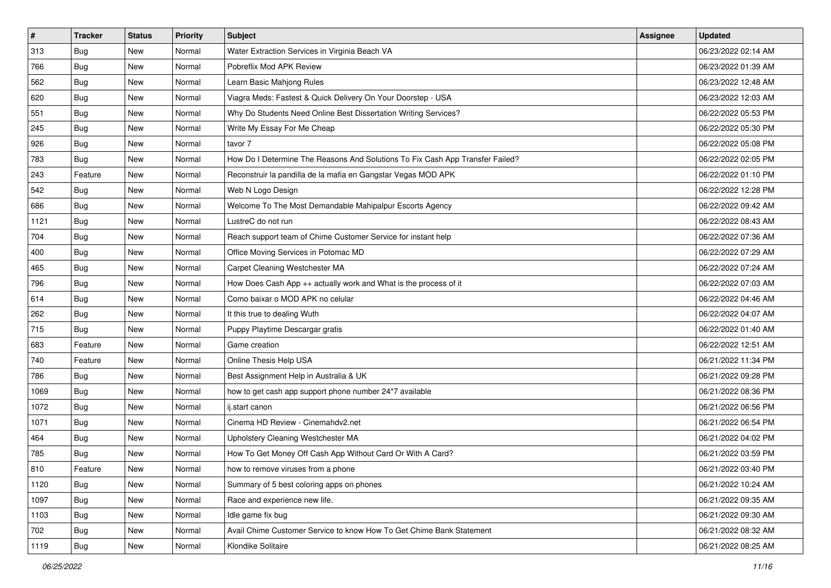| #    | <b>Tracker</b> | <b>Status</b> | <b>Priority</b> | <b>Subject</b>                                                                | Assignee | <b>Updated</b>      |
|------|----------------|---------------|-----------------|-------------------------------------------------------------------------------|----------|---------------------|
| 313  | <b>Bug</b>     | New           | Normal          | Water Extraction Services in Virginia Beach VA                                |          | 06/23/2022 02:14 AM |
| 766  | Bug            | New           | Normal          | Pobreflix Mod APK Review                                                      |          | 06/23/2022 01:39 AM |
| 562  | <b>Bug</b>     | New           | Normal          | Learn Basic Mahjong Rules                                                     |          | 06/23/2022 12:48 AM |
| 620  | <b>Bug</b>     | New           | Normal          | Viagra Meds: Fastest & Quick Delivery On Your Doorstep - USA                  |          | 06/23/2022 12:03 AM |
| 551  | Bug            | New           | Normal          | Why Do Students Need Online Best Dissertation Writing Services?               |          | 06/22/2022 05:53 PM |
| 245  | <b>Bug</b>     | New           | Normal          | Write My Essay For Me Cheap                                                   |          | 06/22/2022 05:30 PM |
| 926  | <b>Bug</b>     | New           | Normal          | tavor 7                                                                       |          | 06/22/2022 05:08 PM |
| 783  | Bug            | New           | Normal          | How Do I Determine The Reasons And Solutions To Fix Cash App Transfer Failed? |          | 06/22/2022 02:05 PM |
| 243  | Feature        | New           | Normal          | Reconstruir la pandilla de la mafia en Gangstar Vegas MOD APK                 |          | 06/22/2022 01:10 PM |
| 542  | Bug            | New           | Normal          | Web N Logo Design                                                             |          | 06/22/2022 12:28 PM |
| 686  | <b>Bug</b>     | New           | Normal          | Welcome To The Most Demandable Mahipalpur Escorts Agency                      |          | 06/22/2022 09:42 AM |
| 1121 | Bug            | New           | Normal          | LustreC do not run                                                            |          | 06/22/2022 08:43 AM |
| 704  | Bug            | New           | Normal          | Reach support team of Chime Customer Service for instant help                 |          | 06/22/2022 07:36 AM |
| 400  | <b>Bug</b>     | New           | Normal          | Office Moving Services in Potomac MD                                          |          | 06/22/2022 07:29 AM |
| 465  | Bug            | New           | Normal          | Carpet Cleaning Westchester MA                                                |          | 06/22/2022 07:24 AM |
| 796  | Bug            | New           | Normal          | How Does Cash App ++ actually work and What is the process of it              |          | 06/22/2022 07:03 AM |
| 614  | <b>Bug</b>     | New           | Normal          | Como baixar o MOD APK no celular                                              |          | 06/22/2022 04:46 AM |
| 262  | Bug            | New           | Normal          | It this true to dealing Wuth                                                  |          | 06/22/2022 04:07 AM |
| 715  | <b>Bug</b>     | New           | Normal          | Puppy Playtime Descargar gratis                                               |          | 06/22/2022 01:40 AM |
| 683  | Feature        | New           | Normal          | Game creation                                                                 |          | 06/22/2022 12:51 AM |
| 740  | Feature        | New           | Normal          | Online Thesis Help USA                                                        |          | 06/21/2022 11:34 PM |
| 786  | <b>Bug</b>     | New           | Normal          | Best Assignment Help in Australia & UK                                        |          | 06/21/2022 09:28 PM |
| 1069 | <b>Bug</b>     | New           | Normal          | how to get cash app support phone number 24*7 available                       |          | 06/21/2022 08:36 PM |
| 1072 | <b>Bug</b>     | New           | Normal          | ij.start canon                                                                |          | 06/21/2022 06:56 PM |
| 1071 | <b>Bug</b>     | New           | Normal          | Cinema HD Review - Cinemahdv2.net                                             |          | 06/21/2022 06:54 PM |
| 464  | <b>Bug</b>     | New           | Normal          | Upholstery Cleaning Westchester MA                                            |          | 06/21/2022 04:02 PM |
| 785  | Bug            | New           | Normal          | How To Get Money Off Cash App Without Card Or With A Card?                    |          | 06/21/2022 03:59 PM |
| 810  | Feature        | New           | Normal          | how to remove viruses from a phone                                            |          | 06/21/2022 03:40 PM |
| 1120 | Bug            | New           | Normal          | Summary of 5 best coloring apps on phones                                     |          | 06/21/2022 10:24 AM |
| 1097 | <b>Bug</b>     | New           | Normal          | Race and experience new life.                                                 |          | 06/21/2022 09:35 AM |
| 1103 | Bug            | New           | Normal          | Idle game fix bug                                                             |          | 06/21/2022 09:30 AM |
| 702  | <b>Bug</b>     | New           | Normal          | Avail Chime Customer Service to know How To Get Chime Bank Statement          |          | 06/21/2022 08:32 AM |
| 1119 | <b>Bug</b>     | New           | Normal          | Klondike Solitaire                                                            |          | 06/21/2022 08:25 AM |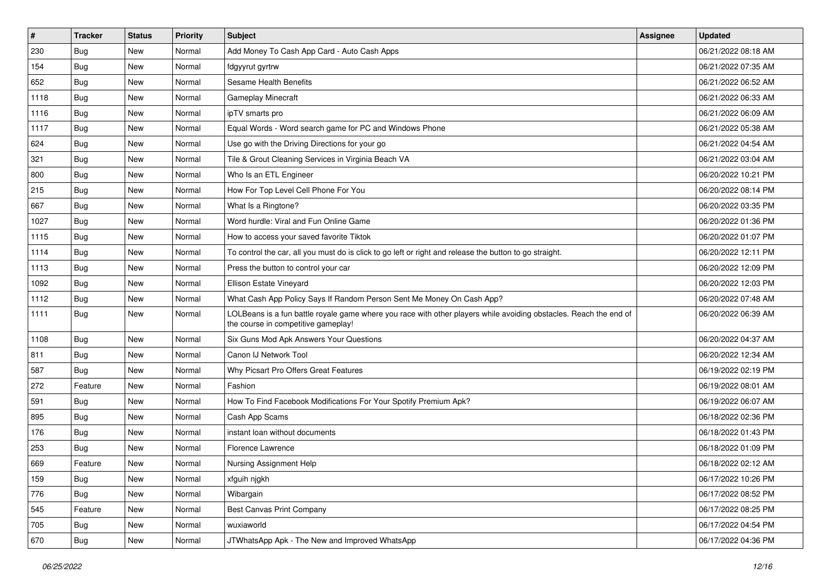| $\sharp$ | <b>Tracker</b> | <b>Status</b> | <b>Priority</b> | Subject                                                                                                                                                  | <b>Assignee</b> | <b>Updated</b>      |
|----------|----------------|---------------|-----------------|----------------------------------------------------------------------------------------------------------------------------------------------------------|-----------------|---------------------|
| 230      | <b>Bug</b>     | New           | Normal          | Add Money To Cash App Card - Auto Cash Apps                                                                                                              |                 | 06/21/2022 08:18 AM |
| 154      | Bug            | New           | Normal          | fdgyyrut gyrtrw                                                                                                                                          |                 | 06/21/2022 07:35 AM |
| 652      | Bug            | New           | Normal          | Sesame Health Benefits                                                                                                                                   |                 | 06/21/2022 06:52 AM |
| 1118     | <b>Bug</b>     | New           | Normal          | Gameplay Minecraft                                                                                                                                       |                 | 06/21/2022 06:33 AM |
| 1116     | Bug            | New           | Normal          | ipTV smarts pro                                                                                                                                          |                 | 06/21/2022 06:09 AM |
| 1117     | <b>Bug</b>     | <b>New</b>    | Normal          | Equal Words - Word search game for PC and Windows Phone                                                                                                  |                 | 06/21/2022 05:38 AM |
| 624      | Bug            | New           | Normal          | Use go with the Driving Directions for your go                                                                                                           |                 | 06/21/2022 04:54 AM |
| 321      | <b>Bug</b>     | New           | Normal          | Tile & Grout Cleaning Services in Virginia Beach VA                                                                                                      |                 | 06/21/2022 03:04 AM |
| 800      | Bug            | New           | Normal          | Who Is an ETL Engineer                                                                                                                                   |                 | 06/20/2022 10:21 PM |
| 215      | Bug            | New           | Normal          | How For Top Level Cell Phone For You                                                                                                                     |                 | 06/20/2022 08:14 PM |
| 667      | <b>Bug</b>     | New           | Normal          | What Is a Ringtone?                                                                                                                                      |                 | 06/20/2022 03:35 PM |
| 1027     | <b>Bug</b>     | New           | Normal          | Word hurdle: Viral and Fun Online Game                                                                                                                   |                 | 06/20/2022 01:36 PM |
| 1115     | Bug            | New           | Normal          | How to access your saved favorite Tiktok                                                                                                                 |                 | 06/20/2022 01:07 PM |
| 1114     | Bug            | New           | Normal          | To control the car, all you must do is click to go left or right and release the button to go straight.                                                  |                 | 06/20/2022 12:11 PM |
| 1113     | Bug            | <b>New</b>    | Normal          | Press the button to control your car                                                                                                                     |                 | 06/20/2022 12:09 PM |
| 1092     | Bug            | New           | Normal          | <b>Ellison Estate Vineyard</b>                                                                                                                           |                 | 06/20/2022 12:03 PM |
| 1112     | Bug            | New           | Normal          | What Cash App Policy Says If Random Person Sent Me Money On Cash App?                                                                                    |                 | 06/20/2022 07:48 AM |
| 1111     | <b>Bug</b>     | New           | Normal          | LOLBeans is a fun battle royale game where you race with other players while avoiding obstacles. Reach the end of<br>the course in competitive gameplay! |                 | 06/20/2022 06:39 AM |
| 1108     | Bug            | New           | Normal          | Six Guns Mod Apk Answers Your Questions                                                                                                                  |                 | 06/20/2022 04:37 AM |
| 811      | Bug            | New           | Normal          | Canon IJ Network Tool                                                                                                                                    |                 | 06/20/2022 12:34 AM |
| 587      | Bug            | New           | Normal          | Why Picsart Pro Offers Great Features                                                                                                                    |                 | 06/19/2022 02:19 PM |
| 272      | Feature        | New           | Normal          | Fashion                                                                                                                                                  |                 | 06/19/2022 08:01 AM |
| 591      | Bug            | New           | Normal          | How To Find Facebook Modifications For Your Spotify Premium Apk?                                                                                         |                 | 06/19/2022 06:07 AM |
| 895      | Bug            | New           | Normal          | Cash App Scams                                                                                                                                           |                 | 06/18/2022 02:36 PM |
| 176      | Bug            | New           | Normal          | instant loan without documents                                                                                                                           |                 | 06/18/2022 01:43 PM |
| 253      | Bug            | New           | Normal          | Florence Lawrence                                                                                                                                        |                 | 06/18/2022 01:09 PM |
| 669      | Feature        | New           | Normal          | Nursing Assignment Help                                                                                                                                  |                 | 06/18/2022 02:12 AM |
| 159      | <b>Bug</b>     | New           | Normal          | xfguih njgkh                                                                                                                                             |                 | 06/17/2022 10:26 PM |
| 776      | <b>Bug</b>     | New           | Normal          | Wibargain                                                                                                                                                |                 | 06/17/2022 08:52 PM |
| 545      | Feature        | New           | Normal          | <b>Best Canvas Print Company</b>                                                                                                                         |                 | 06/17/2022 08:25 PM |
| 705      | Bug            | New           | Normal          | wuxiaworld                                                                                                                                               |                 | 06/17/2022 04:54 PM |
| 670      | Bug            | New           | Normal          | JTWhatsApp Apk - The New and Improved WhatsApp                                                                                                           |                 | 06/17/2022 04:36 PM |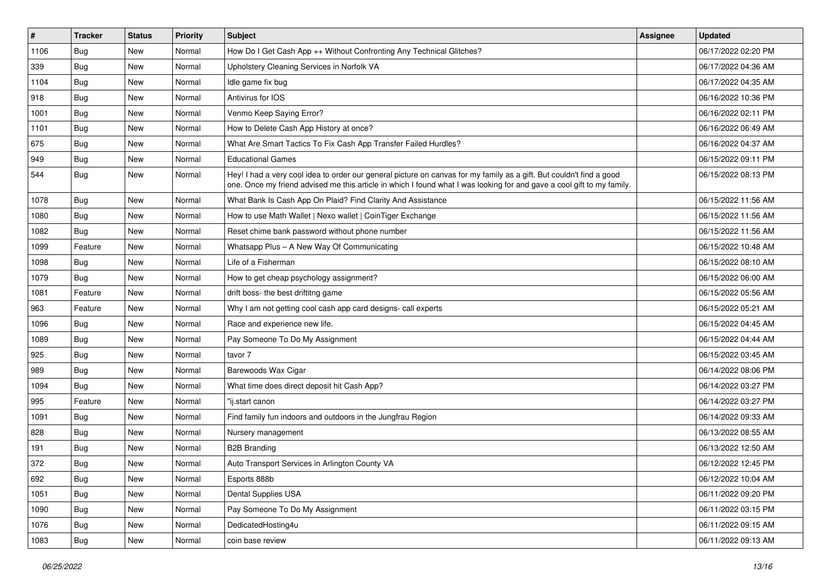| #    | <b>Tracker</b> | <b>Status</b> | <b>Priority</b> | <b>Subject</b>                                                                                                                                                                                                                                 | Assignee | <b>Updated</b>      |
|------|----------------|---------------|-----------------|------------------------------------------------------------------------------------------------------------------------------------------------------------------------------------------------------------------------------------------------|----------|---------------------|
| 1106 | <b>Bug</b>     | New           | Normal          | How Do I Get Cash App ++ Without Confronting Any Technical Glitches?                                                                                                                                                                           |          | 06/17/2022 02:20 PM |
| 339  | Bug            | New           | Normal          | Upholstery Cleaning Services in Norfolk VA                                                                                                                                                                                                     |          | 06/17/2022 04:36 AM |
| 1104 | Bug            | New           | Normal          | Idle game fix bug                                                                                                                                                                                                                              |          | 06/17/2022 04:35 AM |
| 918  | <b>Bug</b>     | New           | Normal          | Antivirus for IOS                                                                                                                                                                                                                              |          | 06/16/2022 10:36 PM |
| 1001 | <b>Bug</b>     | New           | Normal          | Venmo Keep Saying Error?                                                                                                                                                                                                                       |          | 06/16/2022 02:11 PM |
| 1101 | <b>Bug</b>     | New           | Normal          | How to Delete Cash App History at once?                                                                                                                                                                                                        |          | 06/16/2022 06:49 AM |
| 675  | <b>Bug</b>     | New           | Normal          | What Are Smart Tactics To Fix Cash App Transfer Failed Hurdles?                                                                                                                                                                                |          | 06/16/2022 04:37 AM |
| 949  | Bug            | New           | Normal          | <b>Educational Games</b>                                                                                                                                                                                                                       |          | 06/15/2022 09:11 PM |
| 544  | Bug            | New           | Normal          | Hey! I had a very cool idea to order our general picture on canvas for my family as a gift. But couldn't find a good<br>one. Once my friend advised me this article in which I found what I was looking for and gave a cool gift to my family. |          | 06/15/2022 08:13 PM |
| 1078 | Bug            | New           | Normal          | What Bank Is Cash App On Plaid? Find Clarity And Assistance                                                                                                                                                                                    |          | 06/15/2022 11:56 AM |
| 1080 | <b>Bug</b>     | New           | Normal          | How to use Math Wallet   Nexo wallet   CoinTiger Exchange                                                                                                                                                                                      |          | 06/15/2022 11:56 AM |
| 1082 | Bug            | New           | Normal          | Reset chime bank password without phone number                                                                                                                                                                                                 |          | 06/15/2022 11:56 AM |
| 1099 | Feature        | New           | Normal          | Whatsapp Plus - A New Way Of Communicating                                                                                                                                                                                                     |          | 06/15/2022 10:48 AM |
| 1098 | Bug            | New           | Normal          | Life of a Fisherman                                                                                                                                                                                                                            |          | 06/15/2022 08:10 AM |
| 1079 | Bug            | <b>New</b>    | Normal          | How to get cheap psychology assignment?                                                                                                                                                                                                        |          | 06/15/2022 06:00 AM |
| 1081 | Feature        | New           | Normal          | drift boss- the best driftitng game                                                                                                                                                                                                            |          | 06/15/2022 05:56 AM |
| 963  | Feature        | New           | Normal          | Why I am not getting cool cash app card designs- call experts                                                                                                                                                                                  |          | 06/15/2022 05:21 AM |
| 1096 | <b>Bug</b>     | New           | Normal          | Race and experience new life.                                                                                                                                                                                                                  |          | 06/15/2022 04:45 AM |
| 1089 | Bug            | New           | Normal          | Pay Someone To Do My Assignment                                                                                                                                                                                                                |          | 06/15/2022 04:44 AM |
| 925  | Bug            | New           | Normal          | tavor 7                                                                                                                                                                                                                                        |          | 06/15/2022 03:45 AM |
| 989  | <b>Bug</b>     | New           | Normal          | Barewoods Wax Cigar                                                                                                                                                                                                                            |          | 06/14/2022 08:06 PM |
| 1094 | <b>Bug</b>     | New           | Normal          | What time does direct deposit hit Cash App?                                                                                                                                                                                                    |          | 06/14/2022 03:27 PM |
| 995  | Feature        | New           | Normal          | "ij.start canon                                                                                                                                                                                                                                |          | 06/14/2022 03:27 PM |
| 1091 | <b>Bug</b>     | New           | Normal          | Find family fun indoors and outdoors in the Jungfrau Region                                                                                                                                                                                    |          | 06/14/2022 09:33 AM |
| 828  | Bug            | New           | Normal          | Nursery management                                                                                                                                                                                                                             |          | 06/13/2022 08:55 AM |
| 191  | <b>Bug</b>     | New           | Normal          | <b>B2B Branding</b>                                                                                                                                                                                                                            |          | 06/13/2022 12:50 AM |
| 372  | Bug            | New           | Normal          | Auto Transport Services in Arlington County VA                                                                                                                                                                                                 |          | 06/12/2022 12:45 PM |
| 692  | <b>Bug</b>     | New           | Normal          | Esports 888b                                                                                                                                                                                                                                   |          | 06/12/2022 10:04 AM |
| 1051 | <b>Bug</b>     | New           | Normal          | Dental Supplies USA                                                                                                                                                                                                                            |          | 06/11/2022 09:20 PM |
| 1090 | <b>Bug</b>     | New           | Normal          | Pay Someone To Do My Assignment                                                                                                                                                                                                                |          | 06/11/2022 03:15 PM |
| 1076 | Bug            | New           | Normal          | DedicatedHosting4u                                                                                                                                                                                                                             |          | 06/11/2022 09:15 AM |
| 1083 | <b>Bug</b>     | New           | Normal          | coin base review                                                                                                                                                                                                                               |          | 06/11/2022 09:13 AM |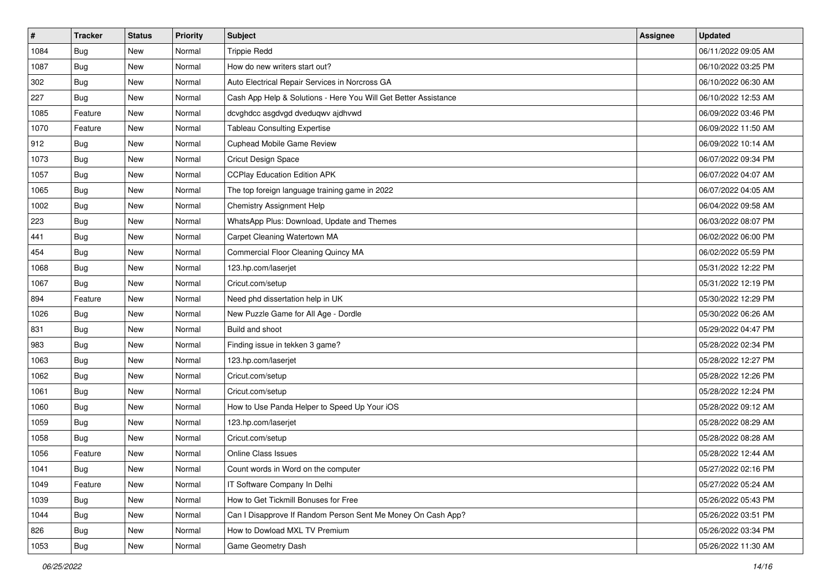| $\sharp$ | <b>Tracker</b> | <b>Status</b> | <b>Priority</b> | Subject                                                         | <b>Assignee</b> | <b>Updated</b>      |
|----------|----------------|---------------|-----------------|-----------------------------------------------------------------|-----------------|---------------------|
| 1084     | <b>Bug</b>     | New           | Normal          | <b>Trippie Redd</b>                                             |                 | 06/11/2022 09:05 AM |
| 1087     | Bug            | New           | Normal          | How do new writers start out?                                   |                 | 06/10/2022 03:25 PM |
| 302      | Bug            | New           | Normal          | Auto Electrical Repair Services in Norcross GA                  |                 | 06/10/2022 06:30 AM |
| 227      | <b>Bug</b>     | New           | Normal          | Cash App Help & Solutions - Here You Will Get Better Assistance |                 | 06/10/2022 12:53 AM |
| 1085     | Feature        | New           | Normal          | dcvghdcc asgdvgd dveduqwv ajdhvwd                               |                 | 06/09/2022 03:46 PM |
| 1070     | Feature        | New           | Normal          | <b>Tableau Consulting Expertise</b>                             |                 | 06/09/2022 11:50 AM |
| 912      | Bug            | New           | Normal          | Cuphead Mobile Game Review                                      |                 | 06/09/2022 10:14 AM |
| 1073     | <b>Bug</b>     | New           | Normal          | Cricut Design Space                                             |                 | 06/07/2022 09:34 PM |
| 1057     | Bug            | New           | Normal          | <b>CCPlay Education Edition APK</b>                             |                 | 06/07/2022 04:07 AM |
| 1065     | Bug            | New           | Normal          | The top foreign language training game in 2022                  |                 | 06/07/2022 04:05 AM |
| 1002     | <b>Bug</b>     | New           | Normal          | Chemistry Assignment Help                                       |                 | 06/04/2022 09:58 AM |
| 223      | <b>Bug</b>     | New           | Normal          | WhatsApp Plus: Download, Update and Themes                      |                 | 06/03/2022 08:07 PM |
| 441      | Bug            | New           | Normal          | Carpet Cleaning Watertown MA                                    |                 | 06/02/2022 06:00 PM |
| 454      | <b>Bug</b>     | New           | Normal          | Commercial Floor Cleaning Quincy MA                             |                 | 06/02/2022 05:59 PM |
| 1068     | <b>Bug</b>     | New           | Normal          | 123.hp.com/laserjet                                             |                 | 05/31/2022 12:22 PM |
| 1067     | <b>Bug</b>     | New           | Normal          | Cricut.com/setup                                                |                 | 05/31/2022 12:19 PM |
| 894      | Feature        | New           | Normal          | Need phd dissertation help in UK                                |                 | 05/30/2022 12:29 PM |
| 1026     | Bug            | New           | Normal          | New Puzzle Game for All Age - Dordle                            |                 | 05/30/2022 06:26 AM |
| 831      | Bug            | New           | Normal          | Build and shoot                                                 |                 | 05/29/2022 04:47 PM |
| 983      | Bug            | New           | Normal          | Finding issue in tekken 3 game?                                 |                 | 05/28/2022 02:34 PM |
| 1063     | <b>Bug</b>     | New           | Normal          | 123.hp.com/laserjet                                             |                 | 05/28/2022 12:27 PM |
| 1062     | Bug            | New           | Normal          | Cricut.com/setup                                                |                 | 05/28/2022 12:26 PM |
| 1061     | Bug            | New           | Normal          | Cricut.com/setup                                                |                 | 05/28/2022 12:24 PM |
| 1060     | <b>Bug</b>     | New           | Normal          | How to Use Panda Helper to Speed Up Your iOS                    |                 | 05/28/2022 09:12 AM |
| 1059     | <b>Bug</b>     | New           | Normal          | 123.hp.com/laserjet                                             |                 | 05/28/2022 08:29 AM |
| 1058     | <b>Bug</b>     | New           | Normal          | Cricut.com/setup                                                |                 | 05/28/2022 08:28 AM |
| 1056     | Feature        | New           | Normal          | <b>Online Class Issues</b>                                      |                 | 05/28/2022 12:44 AM |
| 1041     | <b>Bug</b>     | New           | Normal          | Count words in Word on the computer                             |                 | 05/27/2022 02:16 PM |
| 1049     | Feature        | New           | Normal          | IT Software Company In Delhi                                    |                 | 05/27/2022 05:24 AM |
| 1039     | <b>Bug</b>     | New           | Normal          | How to Get Tickmill Bonuses for Free                            |                 | 05/26/2022 05:43 PM |
| 1044     | Bug            | New           | Normal          | Can I Disapprove If Random Person Sent Me Money On Cash App?    |                 | 05/26/2022 03:51 PM |
| 826      | <b>Bug</b>     | New           | Normal          | How to Dowload MXL TV Premium                                   |                 | 05/26/2022 03:34 PM |
| 1053     | <b>Bug</b>     | New           | Normal          | Game Geometry Dash                                              |                 | 05/26/2022 11:30 AM |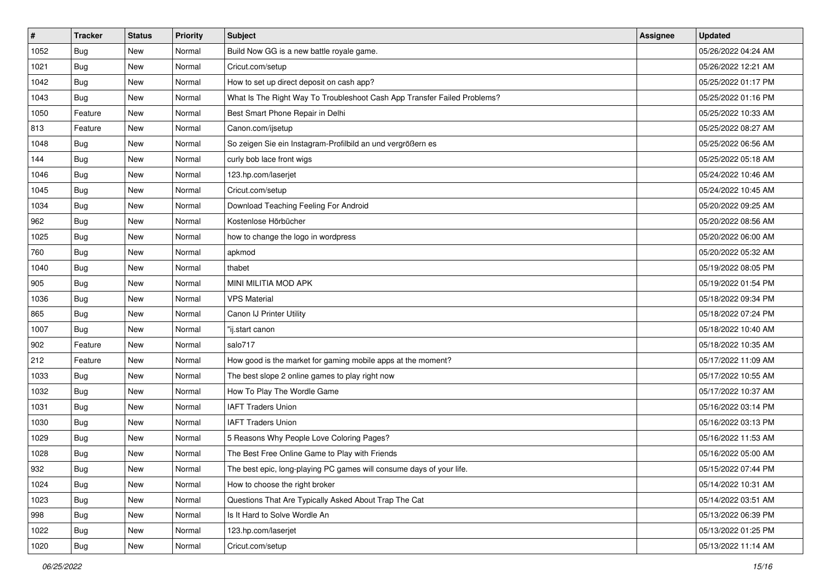| $\vert$ # | <b>Tracker</b> | <b>Status</b> | <b>Priority</b> | Subject                                                                  | Assignee | <b>Updated</b>      |
|-----------|----------------|---------------|-----------------|--------------------------------------------------------------------------|----------|---------------------|
| 1052      | <b>Bug</b>     | New           | Normal          | Build Now GG is a new battle royale game.                                |          | 05/26/2022 04:24 AM |
| 1021      | <b>Bug</b>     | New           | Normal          | Cricut.com/setup                                                         |          | 05/26/2022 12:21 AM |
| 1042      | Bug            | New           | Normal          | How to set up direct deposit on cash app?                                |          | 05/25/2022 01:17 PM |
| 1043      | <b>Bug</b>     | New           | Normal          | What Is The Right Way To Troubleshoot Cash App Transfer Failed Problems? |          | 05/25/2022 01:16 PM |
| 1050      | Feature        | New           | Normal          | Best Smart Phone Repair in Delhi                                         |          | 05/25/2022 10:33 AM |
| 813       | Feature        | New           | Normal          | Canon.com/ijsetup                                                        |          | 05/25/2022 08:27 AM |
| 1048      | <b>Bug</b>     | New           | Normal          | So zeigen Sie ein Instagram-Profilbild an und vergrößern es              |          | 05/25/2022 06:56 AM |
| 144       | <b>Bug</b>     | New           | Normal          | curly bob lace front wigs                                                |          | 05/25/2022 05:18 AM |
| 1046      | <b>Bug</b>     | New           | Normal          | 123.hp.com/laserjet                                                      |          | 05/24/2022 10:46 AM |
| 1045      | <b>Bug</b>     | New           | Normal          | Cricut.com/setup                                                         |          | 05/24/2022 10:45 AM |
| 1034      | Bug            | New           | Normal          | Download Teaching Feeling For Android                                    |          | 05/20/2022 09:25 AM |
| 962       | <b>Bug</b>     | New           | Normal          | Kostenlose Hörbücher                                                     |          | 05/20/2022 08:56 AM |
| 1025      | Bug            | New           | Normal          | how to change the logo in wordpress                                      |          | 05/20/2022 06:00 AM |
| 760       | Bug            | New           | Normal          | apkmod                                                                   |          | 05/20/2022 05:32 AM |
| 1040      | Bug            | New           | Normal          | thabet                                                                   |          | 05/19/2022 08:05 PM |
| 905       | <b>Bug</b>     | New           | Normal          | MINI MILITIA MOD APK                                                     |          | 05/19/2022 01:54 PM |
| 1036      | <b>Bug</b>     | New           | Normal          | <b>VPS Material</b>                                                      |          | 05/18/2022 09:34 PM |
| 865       | <b>Bug</b>     | New           | Normal          | Canon IJ Printer Utility                                                 |          | 05/18/2022 07:24 PM |
| 1007      | Bug            | New           | Normal          | "ij.start canon                                                          |          | 05/18/2022 10:40 AM |
| 902       | Feature        | New           | Normal          | salo717                                                                  |          | 05/18/2022 10:35 AM |
| 212       | Feature        | New           | Normal          | How good is the market for gaming mobile apps at the moment?             |          | 05/17/2022 11:09 AM |
| 1033      | <b>Bug</b>     | New           | Normal          | The best slope 2 online games to play right now                          |          | 05/17/2022 10:55 AM |
| 1032      | <b>Bug</b>     | New           | Normal          | How To Play The Wordle Game                                              |          | 05/17/2022 10:37 AM |
| 1031      | Bug            | New           | Normal          | <b>IAFT Traders Union</b>                                                |          | 05/16/2022 03:14 PM |
| 1030      | <b>Bug</b>     | New           | Normal          | <b>IAFT Traders Union</b>                                                |          | 05/16/2022 03:13 PM |
| 1029      | <b>Bug</b>     | New           | Normal          | 5 Reasons Why People Love Coloring Pages?                                |          | 05/16/2022 11:53 AM |
| 1028      | <b>Bug</b>     | New           | Normal          | The Best Free Online Game to Play with Friends                           |          | 05/16/2022 05:00 AM |
| 932       | Bug            | New           | Normal          | The best epic, long-playing PC games will consume days of your life.     |          | 05/15/2022 07:44 PM |
| 1024      | <b>Bug</b>     | New           | Normal          | How to choose the right broker                                           |          | 05/14/2022 10:31 AM |
| 1023      | <b>Bug</b>     | New           | Normal          | Questions That Are Typically Asked About Trap The Cat                    |          | 05/14/2022 03:51 AM |
| 998       | <b>Bug</b>     | New           | Normal          | Is It Hard to Solve Wordle An                                            |          | 05/13/2022 06:39 PM |
| 1022      | <b>Bug</b>     | New           | Normal          | 123.hp.com/laserjet                                                      |          | 05/13/2022 01:25 PM |
| 1020      | <b>Bug</b>     | New           | Normal          | Cricut.com/setup                                                         |          | 05/13/2022 11:14 AM |